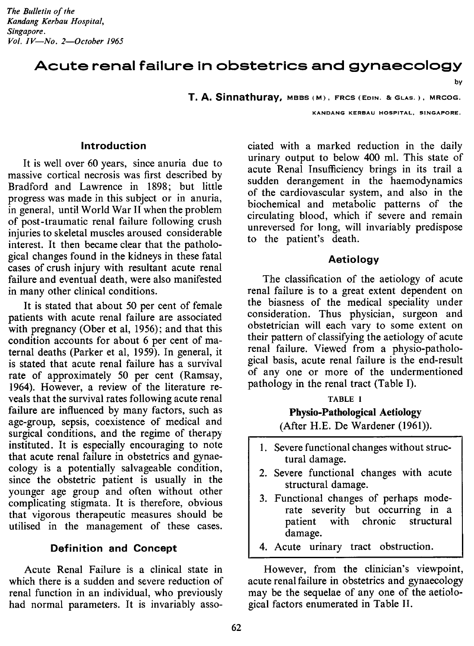## Acute renal failure in obstetrics and gynaecology

**T.A. Sinnathuray,** MBBS(M), FRCS(EoIN. &GLAS.), MRCOG.

KANDANG KERBAU HOSPITAL, SINGAPORE.

by

#### **Introduction**

It is well over 60 years, since anuria due to massive cortical necrosis was first described by Bradford and Lawrence in 1898; but little progress was made in this subject or in anuria, in general, until World War ITwhen the problem of post-traumatic renal failure following crush injuries to skeletal muscles aroused considerable interest. It then became clear that the pathological changes found in the kidneys in these fatal cases of crush injury with resultant acute renal failure and eventual death, were also manifested in many other clinical conditions.

It is stated that about 50 per cent of female patients with acute renal failure are associated with pregnancy (Ober et al, 1956); and that this condition accounts for about 6 per cent of maternal deaths (Parker et aI, 1959). In general, it is stated that acute renal failure has a survival rate of approximately 50 per cent (Ramsay, 1964). However, a review of the literature reveals that the survival rates following acute renal failure are influenced by many factors, such as age-group, sepsis, coexistence of medical and surgical conditions, and the regime of therapy instituted. It is especially encouraging to note that acute renal failure in obstetrics and gynaecology is a potentially salvageable condition, since the obstetric patient is usually in the younger age group and often without other complicating stigmata. It is therefore, obvious that vigorous therapeutic measures should be utilised in the management of these cases.

#### **Definition and Concept**

Acute Renal Failure is a clinical state in which there is a sudden and severe reduction of renal function in an individual, who previously had normal parameters. It is invariably asso-

ciated with a marked reduction in the daily urinary output to below 400 ml. This state of acute Renal Insufficiency brings in its trail a sudden derangement in the haemodynamics of the cardiovascular system, and also in the biochemical and metabolic patterns of the circulating blood, which if severe and remain unreversed for long, will invariably predispose to the patient's death.

#### **Aetiology**

The classification of the aetiology of acute renal failure is to a great extent dependent on the biasness of the medical speciality under consideration. Thus physician, surgeon and obstetrician will each vary to some extent on their pattern of classifying the aetiology of acute renal failure. Viewed from a physio-pathological basis, acute renal failure is the end-result of anyone or more of the undermentioned pathology in the renal tract (Table I).

#### TABLE I

# **Physio-Pathological Aetiology**

(After H.E. De Wardener (1961».

- 1. Severe functional changes without structural damage.
- 2. Severe functional changes with acute structural damage.
- 3. Functional changes of perhaps moderate severity but occurring in a patient with chronic structural damage.
- 4. Acute urinary tract obstruction.

However, from the clinician's viewpoint, acute renal failure in obstetrics and gynaecology may be the sequelae of anyone of the aetiological factors enumerated in Table II.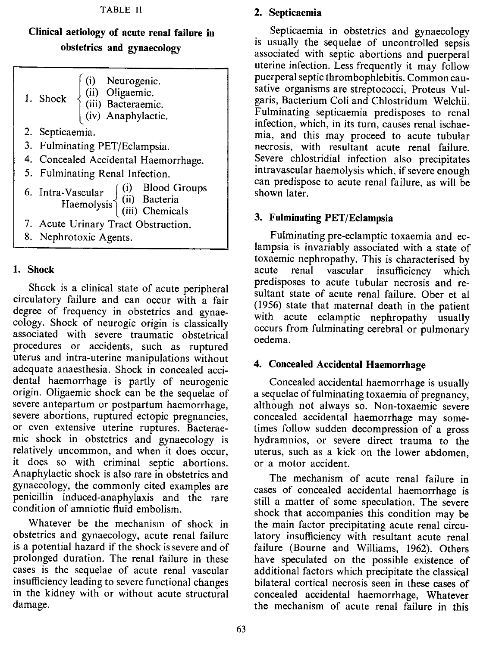#### **TABLE II**

## Clinical aetiology of acute renal failure in obstetrics and gynaecology

| 1. Shock $\begin{cases}\n(i) & \text{Neurogenic.} \\ (ii) & \text{Oligamine.} \\ (iii) & \text{Bacteraemic.} \\ (iv) & \text{Anaphylactic.}\n\end{cases}$ |
|-----------------------------------------------------------------------------------------------------------------------------------------------------------|
| 2. Septicaemia.                                                                                                                                           |
| 3. Fulminating PET/Eclampsia.                                                                                                                             |
| 4. Concealed Accidental Haemorrhage.                                                                                                                      |
| 5. Fulminating Renal Infection.                                                                                                                           |
| 6. Intra-Vascular (i) Blood Groups<br>Haemolysis (ii) Bacteria<br>(iii) Chemicals                                                                         |
| 7. Acute Urinary Tract Obstruction.                                                                                                                       |

8. Nephrotoxic Agents.

## 1. Shock

Shock is a clinical state of acute peripheral circulatory failure and can occur with a fair degree of frequency in obstetrics and gynaecology. Shock of neurogic origin is classically associated with severe traumatic obstetrical procedures or accidents, such as ruptured uterus and intra-uterine manipulations without adequate anaesthesia. Shock in concealed accidental haemorrhage is partly of neurogenic origin. Oligaemic shock can be the sequelae of severe antepartum or postpartum haemorrhage, severe abortions, ruptured ectopic pregnancies, or even extensive uterine ruptures. Bacteraemic shock in obstetrics and gynaecology is relatively uncommon, and when it does occur, it does so with criminal septic abortions. Anaphylactic shock is also rare in obstetrics and gynaecology, the commonly cited examples are penicillin induced-anaphylaxis and the rare condition of amniotic fluid embolism.

Whatever be the mechanism of shock in obstetrics and gynaecology, acute renal failure is a potential hazard if the shock issevere and of prolonged duration. The renal failure in these cases is the sequelae of acute renal vascular insufficiency leading to severe functional changes in the kidney with or without acute structural damage.

## 2. Septicaemia

Septicaemia in obstetrics and gynaecology is usually the sequelae of uncontrolled sepsis associated with septic abortions and puerperal uterine infection. Less frequently it may follow puerperal septic thrombophlebitis. Common causative organisms are streptococci, Proteus Vulgaris, Bacterium Coli and Chlostridum Welchii. Fulminating septicaemia predisposes to renal infection, which, in its turn, causes renal ischaemia, and this may proceed to acute tubular necrosis, with resultant acute renal failure. Severe chlostridial infection also precipitates intravascular haemolysis which, if severe enough can predispose to acute renal failure, as will be shown later.

## 3. Fulminating PET/Eclampsia

Fulminating pre-eclamptic toxaemia and eclampsia is invariably associated with a state of toxaemic nephropathy. This is characterised by acute renal vascular insufficiency which predisposes to acute tubular necrosis and resultant state of acute renal failure. Ober et al (1956) state that maternal death in the patient with acute eclamptic nephropathy usually occurs from fulminating cerebral or pulmonary oedema.

## 4. Concealed Accidental Haemorrhage

Concealed accidental haemorrhage is usually a sequelae of fulminating toxaemia of pregnancy, although not always so. Non-toxaemic severe concealed accidental haemorrhage may sometimes follow sudden decompression of a gross hydramnios, or severe direct trauma to the uterus, such as a kick on the lower abdomen, or a motor accident.

The mechanism of acute renal failure in cases of concealed accidental haemorrhage is still a matter of some speculation. The severe shock that accompanies this condition may be the main factor precipitating acute renal circulatory insufficiency with resultant acute renal failure (Bourne and Williams, 1962). Others have speculated on the possible existence of additional factors which precipitate the classical bilateral cortical necrosis seen in these cases of concealed accidental haemorrhage, Whatever the mechanism of acute renal failure in this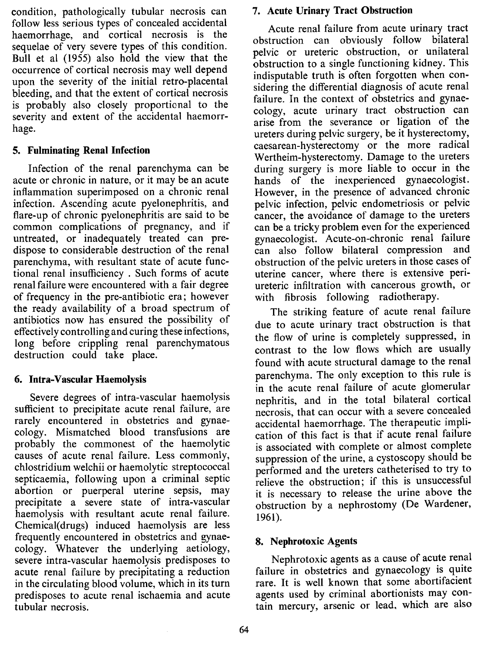condition, pathologically tubular necrosis can follow less serious types of concealed accidental haemorrhage, and cortical necrosis is the sequelae of very severe types of this condition. Bull et al (1955) also hold the view that the occurrence of cortical necrosis may well depend upon the severity of the initial retro-placental bleeding, and that the extent of cortical necrosis is probably also closely proportional to the severity and extent of the accidental haemorrhage.

## 5. Fulminating Renal Infection

Infection of the renal parenchyma can be acute or chronic in nature, or it may be an acute inflammation superimposed on a chronic renal infection. Ascending acute pyelonephritis, and flare-up of chronic pyelonephritis are said to be common complications of pregnancy, and if untreated, or inadequately treated can predispose to considerable destruction of the renal parenchyma, with resultant state of acute functional renal insufficiency . Such forms of acute renal failure were encountered with a fair degree of frequency in the pre-antibiotic era; however the ready availability of a broad spectrum of antibiotics now has ensured the possibility of effectively controlling and curing these infections, long before crippling renal parenchymatous destruction could take place.

## 6. Intra-Vascular Haemolysis

Severe degrees of intra-vascular haemolysis sufficient to precipitate acute renal failure, are rarely encountered in obstetrics and gynaecology. Mismatched blood transfusions are probably the commonest of the haemolytic causes of acute renal failure. Less commonly, chlostridium welchii or haemolytic streptococcal septicaemia, following upon a criminal septic abortion or puerperal uterine sepsis, may precipitate a severe state of intra-vascular haemolysis with resultant acute renal failure. Chemical(drugs) induced haemolysis are less frequently encountered in obstetrics and gynaecology. Whatever the underlying aetiology, severe intra-vascular haemolysis predisposes to acute renal failure by precipitating a reduction in the circulating blood volume, which in its turn predisposes to acute renal ischaemia and acute tubular necrosis.

## 7. Acute Urinary Tract Obstruction

Acute renal failure from acute urinary tract obstruction can obviously follow bilateral pelvic or ureteric obstruction, or unilateral obstruction to a single functioning kidney. This indisputable truth is often forgotten when considering the differential diagnosis of acute renal failure. In the context of obstetrics and gynaecology, acute urinary tract obstruction can arise from the severance or ligation of the ureters during pelvic surgery, be it hysterectomy, caesarean-hysterectomy or the more radical Wertheim-hysterectomy. Damage to the ureters during surgery is more liable to occur in the hands of the inexperienced gynaecologist. However, in the presence of advanced chronic pelvic infection, pelvic endometriosis or pelvic cancer, the avoidance of damage to the ureters can be a tricky problem even for the experienced gynaecologist. Acute-on-chronic renal failure can also follow bilateral compression and obstruction of the pelvic ureters in those cases of uterine cancer, where there is extensive periureteric infiltration with cancerous growth, or with fibrosis following radiotherapy.

The striking feature of acute renal failure due to acute urinary tract obstruction is that the flow of urine is completely suppressed, in contrast to the low flows which are usually found with acute structural damage to the renal parenchyma. The only exception to this rule is in the acute renal failure of acute glomerular nephritis, and in the total bilateral cortical necrosis, that can occur with a severe concealed accidental haemorrhage. The therapeutic implication of this fact is that if acute renal failure is associated with complete or almost complete suppression of the urine, a cystoscopy should be performed and the ureters catheterised to try to relieve the obstruction; if this is unsuccessful it is necessary to release the urine above the obstruction by a nephrostomy (De Wardener, 1961).

## 8. Nephrotoxic Agents

Nephrotoxic agents as a cause of acute renal failure in obstetrics and gynaecology is quite rare. It is well known that some abortifacient agents used by criminal abortionists may contain mercury, arsenic or lead. which are also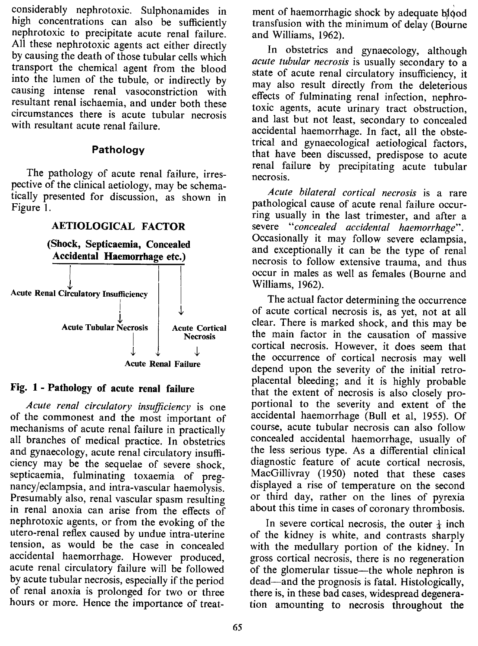considerably nephrotoxic. Sulphonamides in high concentrations can also be sufficiently nephrotoxic to precipitate acute renal failure. All these nephrotoxic agents act either directly by causing the death of those tubular cells which transport the chemical agent from the blood into the lumen of the tubule, or indirectly by causing intense renal vasoconstriction with resultant renal ischaemia, and under both these circumstances there is acute tubular necrosis with resultant acute renal failure.

#### Pathology

The pathology of acute renal failure, irrespective of the clinical aetiology, may be schematically presented for discussion, as shown in Figure 1.

## **AETIOLOGICAL FACTOR**

(Shock, Septicaemia, Concealed Accidental Haemorrhage etc.)



#### Fig. 1 - Pathology of acute renal failure

*Acute renal circulatory insufficiency* is one of the commonest and the most important of mechanisms of acute renal failure in practically all branches of medical practice. In obstetrics and gynaecology, acute renal circulatory insufficiency may be the sequelae of severe shock, septicaemia, fulminating toxaemia of pregnancy/eclampsia, and intra-vascular haemolysis. Presumably also, renal vascular spasm resulting in renal anoxia can arise from the effects of nephrotoxic agents, or from the evoking of the utero-renal reflex caused by undue intra-uterine tension, as would be the case in concealed accidental haemorrhage. However produced, acute renal circulatory failure will be followed by acute tubular necrosis, especially if the period of renal anoxia is prolonged for two or three hours or more. Hence the importance of treatment of haemorrhagic shock by adequate blood transfusion with the minimum of delay (Bourne and Williams, 1962).

In obstetrics and gynaecology, although *acute tubular necrosis* is usually secondary to a state of acute renal circulatory insufficiency, it may also result directly from the deleterious effects of fulminating renal infection, nephrotoxic agents, acute urinary tract obstruction, and last but not least, secondary to concealed accidental haemorrhage. In fact, all the obstetrical and gynaecological aetiological factors, that have been discussed, predispose to acute renal failure by precipitating acute tubular necrosis.

*Acute bilateral cortical necrosis* is a rare pathological cause of acute renal failure occurring usually in the last trimester, and after a severe *"concealed accidental haemorrhage" .* Occasionally it may follow severe eclampsia, and exceptionally it can be the type of renal necrosis to follow extensive trauma, and thus occur in males as well as females (Bourne and Williams, 1962).

The actual factor determining the occurrence of acute cortical necrosis is, as yet, not at all clear. There is marked shock, and this may be the main factor in the causation of massive cortical necrosis. However, it does seem that the occurrence of cortical necrosis may well depend upon the severity of the initial retroplacental bleeding; and it is highly probable that the extent of necrosis is also closely proportional to the severity and extent of the accidental haemorrhage (Bull et aI, 1955). Of course, acute tubular necrosis can also follow concealed accidental haemorrhage, usually of the less serious type. As a differential clinical diagnostic feature of acute cortical necrosis, MacGillivray (1950) noted that these cases displayed a rise of temperature on the second or third day, rather on the lines of pyrexia about this time in cases of coronary thrombosis.

In severe cortical necrosis, the outer  $\frac{1}{4}$  inch of the kidney is white, and contrasts sharply with the medullary portion of the kidney. In gross cortical necrosis, there is no regeneration of the glomerular tissue—the whole nephron is dead-and the prognosis is fatal. Histologically, there is, in these bad cases, widespread degeneration amounting to necrosis throughout the